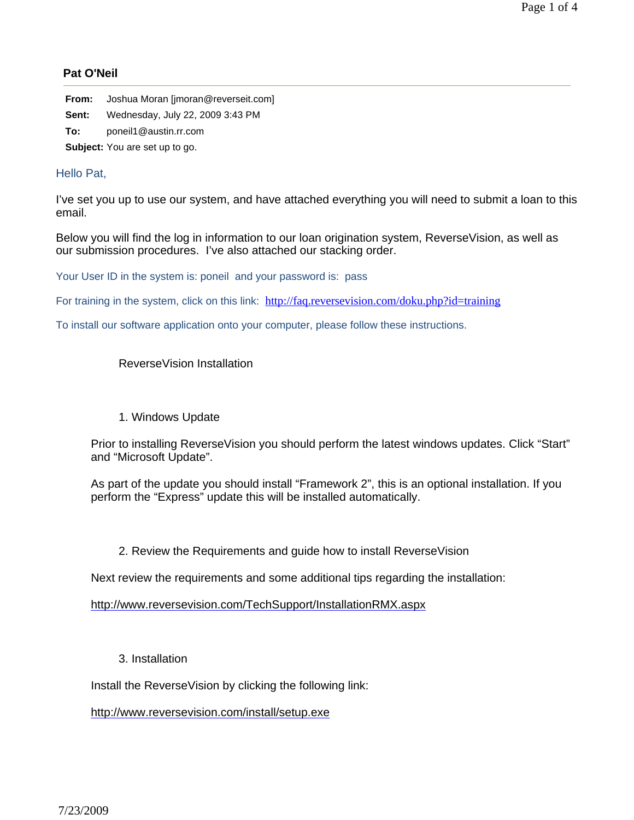## **Pat O'Neil**

| From: | Joshua Moran [imoran@reverseit.com] |
|-------|-------------------------------------|
| Sent: | Wednesday, July 22, 2009 3:43 PM    |
| To:   | poneil1@austin.rr.com               |

**Subject:** You are set up to go.

## Hello Pat,

I've set you up to use our system, and have attached everything you will need to submit a loan to this email.

Below you will find the log in information to our loan origination system, ReverseVision, as well as our submission procedures. I've also attached our stacking order.

Your User ID in the system is: poneil and your password is: pass

For training in the system, click on this link: http://faq.reversevision.com/doku.php?id=training

To install our software application onto your computer, please follow these instructions.

## ReverseVision Installation

## 1. Windows Update

Prior to installing ReverseVision you should perform the latest windows updates. Click "Start" and "Microsoft Update".

As part of the update you should install "Framework 2", this is an optional installation. If you perform the "Express" update this will be installed automatically.

2. Review the Requirements and guide how to install ReverseVision

Next review the requirements and some additional tips regarding the installation:

http://www.reversevision.com/TechSupport/InstallationRMX.aspx

3. Installation

Install the ReverseVision by clicking the following link:

http://www.reversevision.com/install/setup.exe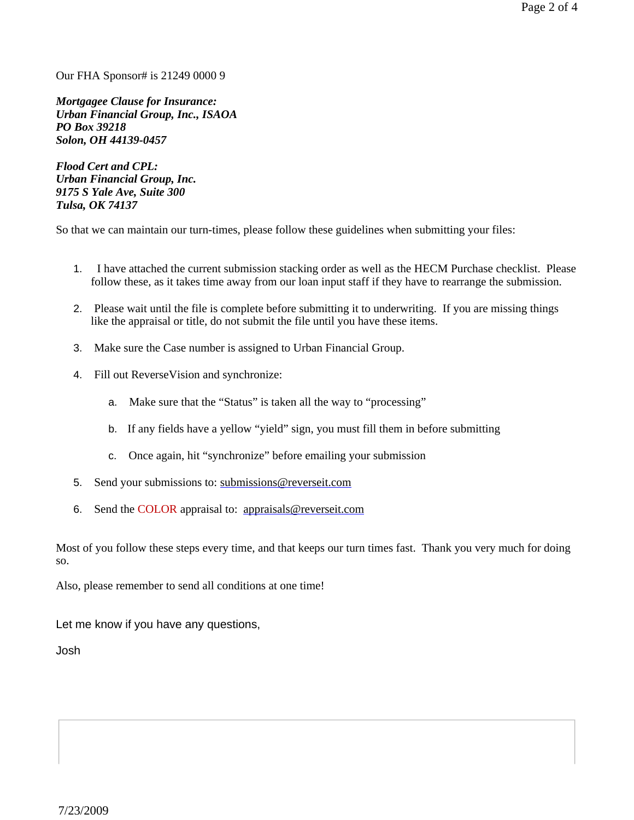Our FHA Sponsor# is 21249 0000 9

*Mortgagee Clause for Insurance: Urban Financial Group, Inc., ISAOA PO Box 39218 Solon, OH 44139-0457*

*Flood Cert and CPL: Urban Financial Group, Inc. 9175 S Yale Ave, Suite 300 Tulsa, OK 74137*

So that we can maintain our turn-times, please follow these guidelines when submitting your files:

- 1. I have attached the current submission stacking order as well as the HECM Purchase checklist. Please follow these, as it takes time away from our loan input staff if they have to rearrange the submission.
- 2. Please wait until the file is complete before submitting it to underwriting. If you are missing things like the appraisal or title, do not submit the file until you have these items.
- 3. Make sure the Case number is assigned to Urban Financial Group.
- 4. Fill out ReverseVision and synchronize:
	- a. Make sure that the "Status" is taken all the way to "processing"
	- b. If any fields have a yellow "yield" sign, you must fill them in before submitting
	- c. Once again, hit "synchronize" before emailing your submission
- 5. Send your submissions to: submissions@reverseit.com
- 6. Send the COLOR appraisal to: appraisals@reverseit.com

Most of you follow these steps every time, and that keeps our turn times fast. Thank you very much for doing so.

Also, please remember to send all conditions at one time!

Let me know if you have any questions,

Josh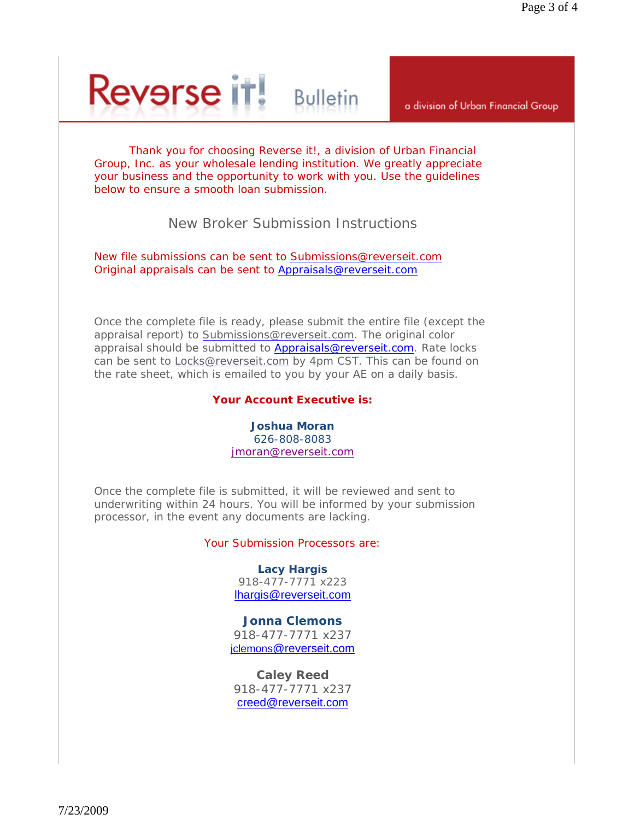# **Reverse it! Bulletin**

a division of Urban Financial Group

Thank you for choosing Reverse it!, a division of Urban Financial Group, Inc. as your wholesale lending institution. We greatly appreciate your business and the opportunity to work with you. Use the guidelines below to ensure a smooth loan submission.

## New Broker Submission Instructions

New file submissions can be sent to Submissions@reverseit.com Original appraisals can be sent to Appraisals@reverseit.com

Once the complete file is ready, please submit the entire file (except the appraisal report) to Submissions@reverseit.com. The original color appraisal should be submitted to Appraisals@reverseit.com. Rate locks can be sent to **Locks@reverseit.com** by 4pm CST. This can be found on the rate sheet, which is emailed to you by your AE on a daily basis.

## **Your Account Executive is:**

## **Joshua Moran** 626-808-8083 jmoran@reverseit.com

Once the complete file is submitted, it will be reviewed and sent to underwriting within 24 hours. You will be informed by your submission processor, in the event any documents are lacking.

## Your Submission Processors are:

**Lacy Hargis** 918-477-7771 x223 lhargis@reverseit.com

## **Jonna Clemons**

918-477-7771 x237 jclemons@reverseit.com

**Caley Reed** 918-477-7771 x237 creed@reverseit.com